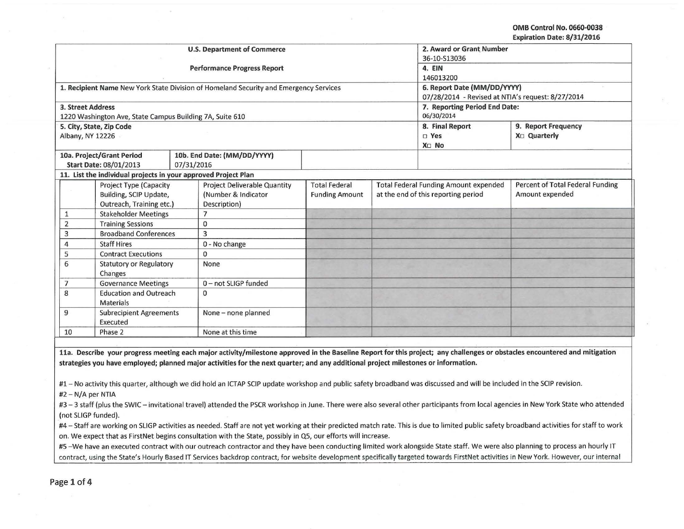**OMB Control No. 0660·0038 Expiration Date: 8/31/2016** 

| <b>U.S. Department of Commerce</b><br>36-10-S13036<br><b>Performance Progress Report</b><br>4. EIN<br>146013200<br>6. Report Date (MM/DD/YYYY)<br>1. Recipient Name New York State Division of Homeland Security and Emergency Services<br>07/28/2014 - Revised at NTIA's request: 8/27/2014<br>7. Reporting Period End Date:<br><b>3. Street Address</b><br>06/30/2014<br>1220 Washington Ave, State Campus Building 7A, Suite 610<br>9. Report Frequency<br>8. Final Report<br>5. City, State, Zip Code<br>X <sub>D</sub> Quarterly<br>Albany, NY 12226<br>$\square$ Yes<br>X <sub>D</sub> No<br>10a. Project/Grant Period<br>10b. End Date: (MM/DD/YYYY)<br><b>Start Date: 08/01/2013</b><br>07/31/2016<br>11. List the individual projects in your approved Project Plan<br><b>Total Federal</b><br>Percent of Total Federal Funding<br><b>Project Type (Capacity</b><br>Project Deliverable Quantity<br><b>Total Federal Funding Amount expended</b><br>Amount expended<br>Building, SCIP Update,<br>(Number & Indicator<br>at the end of this reporting period<br><b>Funding Amount</b><br>Outreach, Training etc.)<br>Description)<br><b>Stakeholder Meetings</b><br>$\overline{7}$<br>1<br><b>Training Sessions</b><br>$\overline{2}$<br>$\Omega$<br><b>Broadband Conferences</b><br>3<br>3<br><b>Staff Hires</b><br>0 - No change<br>4<br><b>Contract Executions</b><br>$\mathbf{0}$<br>5<br>6<br><b>Statutory or Regulatory</b><br>None<br>Changes<br><b>Governance Meetings</b><br>0-not SLIGP funded<br>7<br><b>Education and Outreach</b><br>8<br>$\mathbf{0}$<br><b>Materials</b><br>9<br><b>Subrecipient Agreements</b><br>None - none planned<br>Executed<br>None at this time<br>10<br>Phase 2 |  |  |  |  |                          |  |  |  |
|-----------------------------------------------------------------------------------------------------------------------------------------------------------------------------------------------------------------------------------------------------------------------------------------------------------------------------------------------------------------------------------------------------------------------------------------------------------------------------------------------------------------------------------------------------------------------------------------------------------------------------------------------------------------------------------------------------------------------------------------------------------------------------------------------------------------------------------------------------------------------------------------------------------------------------------------------------------------------------------------------------------------------------------------------------------------------------------------------------------------------------------------------------------------------------------------------------------------------------------------------------------------------------------------------------------------------------------------------------------------------------------------------------------------------------------------------------------------------------------------------------------------------------------------------------------------------------------------------------------------------------------------------------------------------------------------------------------------|--|--|--|--|--------------------------|--|--|--|
|                                                                                                                                                                                                                                                                                                                                                                                                                                                                                                                                                                                                                                                                                                                                                                                                                                                                                                                                                                                                                                                                                                                                                                                                                                                                                                                                                                                                                                                                                                                                                                                                                                                                                                                 |  |  |  |  | 2. Award or Grant Number |  |  |  |
|                                                                                                                                                                                                                                                                                                                                                                                                                                                                                                                                                                                                                                                                                                                                                                                                                                                                                                                                                                                                                                                                                                                                                                                                                                                                                                                                                                                                                                                                                                                                                                                                                                                                                                                 |  |  |  |  |                          |  |  |  |
|                                                                                                                                                                                                                                                                                                                                                                                                                                                                                                                                                                                                                                                                                                                                                                                                                                                                                                                                                                                                                                                                                                                                                                                                                                                                                                                                                                                                                                                                                                                                                                                                                                                                                                                 |  |  |  |  |                          |  |  |  |
|                                                                                                                                                                                                                                                                                                                                                                                                                                                                                                                                                                                                                                                                                                                                                                                                                                                                                                                                                                                                                                                                                                                                                                                                                                                                                                                                                                                                                                                                                                                                                                                                                                                                                                                 |  |  |  |  |                          |  |  |  |
|                                                                                                                                                                                                                                                                                                                                                                                                                                                                                                                                                                                                                                                                                                                                                                                                                                                                                                                                                                                                                                                                                                                                                                                                                                                                                                                                                                                                                                                                                                                                                                                                                                                                                                                 |  |  |  |  |                          |  |  |  |
|                                                                                                                                                                                                                                                                                                                                                                                                                                                                                                                                                                                                                                                                                                                                                                                                                                                                                                                                                                                                                                                                                                                                                                                                                                                                                                                                                                                                                                                                                                                                                                                                                                                                                                                 |  |  |  |  |                          |  |  |  |
|                                                                                                                                                                                                                                                                                                                                                                                                                                                                                                                                                                                                                                                                                                                                                                                                                                                                                                                                                                                                                                                                                                                                                                                                                                                                                                                                                                                                                                                                                                                                                                                                                                                                                                                 |  |  |  |  |                          |  |  |  |
|                                                                                                                                                                                                                                                                                                                                                                                                                                                                                                                                                                                                                                                                                                                                                                                                                                                                                                                                                                                                                                                                                                                                                                                                                                                                                                                                                                                                                                                                                                                                                                                                                                                                                                                 |  |  |  |  |                          |  |  |  |
|                                                                                                                                                                                                                                                                                                                                                                                                                                                                                                                                                                                                                                                                                                                                                                                                                                                                                                                                                                                                                                                                                                                                                                                                                                                                                                                                                                                                                                                                                                                                                                                                                                                                                                                 |  |  |  |  |                          |  |  |  |
|                                                                                                                                                                                                                                                                                                                                                                                                                                                                                                                                                                                                                                                                                                                                                                                                                                                                                                                                                                                                                                                                                                                                                                                                                                                                                                                                                                                                                                                                                                                                                                                                                                                                                                                 |  |  |  |  |                          |  |  |  |
|                                                                                                                                                                                                                                                                                                                                                                                                                                                                                                                                                                                                                                                                                                                                                                                                                                                                                                                                                                                                                                                                                                                                                                                                                                                                                                                                                                                                                                                                                                                                                                                                                                                                                                                 |  |  |  |  |                          |  |  |  |
|                                                                                                                                                                                                                                                                                                                                                                                                                                                                                                                                                                                                                                                                                                                                                                                                                                                                                                                                                                                                                                                                                                                                                                                                                                                                                                                                                                                                                                                                                                                                                                                                                                                                                                                 |  |  |  |  |                          |  |  |  |
|                                                                                                                                                                                                                                                                                                                                                                                                                                                                                                                                                                                                                                                                                                                                                                                                                                                                                                                                                                                                                                                                                                                                                                                                                                                                                                                                                                                                                                                                                                                                                                                                                                                                                                                 |  |  |  |  |                          |  |  |  |
|                                                                                                                                                                                                                                                                                                                                                                                                                                                                                                                                                                                                                                                                                                                                                                                                                                                                                                                                                                                                                                                                                                                                                                                                                                                                                                                                                                                                                                                                                                                                                                                                                                                                                                                 |  |  |  |  |                          |  |  |  |
|                                                                                                                                                                                                                                                                                                                                                                                                                                                                                                                                                                                                                                                                                                                                                                                                                                                                                                                                                                                                                                                                                                                                                                                                                                                                                                                                                                                                                                                                                                                                                                                                                                                                                                                 |  |  |  |  |                          |  |  |  |
|                                                                                                                                                                                                                                                                                                                                                                                                                                                                                                                                                                                                                                                                                                                                                                                                                                                                                                                                                                                                                                                                                                                                                                                                                                                                                                                                                                                                                                                                                                                                                                                                                                                                                                                 |  |  |  |  |                          |  |  |  |
|                                                                                                                                                                                                                                                                                                                                                                                                                                                                                                                                                                                                                                                                                                                                                                                                                                                                                                                                                                                                                                                                                                                                                                                                                                                                                                                                                                                                                                                                                                                                                                                                                                                                                                                 |  |  |  |  |                          |  |  |  |
|                                                                                                                                                                                                                                                                                                                                                                                                                                                                                                                                                                                                                                                                                                                                                                                                                                                                                                                                                                                                                                                                                                                                                                                                                                                                                                                                                                                                                                                                                                                                                                                                                                                                                                                 |  |  |  |  |                          |  |  |  |
|                                                                                                                                                                                                                                                                                                                                                                                                                                                                                                                                                                                                                                                                                                                                                                                                                                                                                                                                                                                                                                                                                                                                                                                                                                                                                                                                                                                                                                                                                                                                                                                                                                                                                                                 |  |  |  |  |                          |  |  |  |
|                                                                                                                                                                                                                                                                                                                                                                                                                                                                                                                                                                                                                                                                                                                                                                                                                                                                                                                                                                                                                                                                                                                                                                                                                                                                                                                                                                                                                                                                                                                                                                                                                                                                                                                 |  |  |  |  |                          |  |  |  |
|                                                                                                                                                                                                                                                                                                                                                                                                                                                                                                                                                                                                                                                                                                                                                                                                                                                                                                                                                                                                                                                                                                                                                                                                                                                                                                                                                                                                                                                                                                                                                                                                                                                                                                                 |  |  |  |  |                          |  |  |  |
|                                                                                                                                                                                                                                                                                                                                                                                                                                                                                                                                                                                                                                                                                                                                                                                                                                                                                                                                                                                                                                                                                                                                                                                                                                                                                                                                                                                                                                                                                                                                                                                                                                                                                                                 |  |  |  |  |                          |  |  |  |
|                                                                                                                                                                                                                                                                                                                                                                                                                                                                                                                                                                                                                                                                                                                                                                                                                                                                                                                                                                                                                                                                                                                                                                                                                                                                                                                                                                                                                                                                                                                                                                                                                                                                                                                 |  |  |  |  |                          |  |  |  |
|                                                                                                                                                                                                                                                                                                                                                                                                                                                                                                                                                                                                                                                                                                                                                                                                                                                                                                                                                                                                                                                                                                                                                                                                                                                                                                                                                                                                                                                                                                                                                                                                                                                                                                                 |  |  |  |  |                          |  |  |  |
|                                                                                                                                                                                                                                                                                                                                                                                                                                                                                                                                                                                                                                                                                                                                                                                                                                                                                                                                                                                                                                                                                                                                                                                                                                                                                                                                                                                                                                                                                                                                                                                                                                                                                                                 |  |  |  |  |                          |  |  |  |
|                                                                                                                                                                                                                                                                                                                                                                                                                                                                                                                                                                                                                                                                                                                                                                                                                                                                                                                                                                                                                                                                                                                                                                                                                                                                                                                                                                                                                                                                                                                                                                                                                                                                                                                 |  |  |  |  |                          |  |  |  |
|                                                                                                                                                                                                                                                                                                                                                                                                                                                                                                                                                                                                                                                                                                                                                                                                                                                                                                                                                                                                                                                                                                                                                                                                                                                                                                                                                                                                                                                                                                                                                                                                                                                                                                                 |  |  |  |  |                          |  |  |  |
|                                                                                                                                                                                                                                                                                                                                                                                                                                                                                                                                                                                                                                                                                                                                                                                                                                                                                                                                                                                                                                                                                                                                                                                                                                                                                                                                                                                                                                                                                                                                                                                                                                                                                                                 |  |  |  |  |                          |  |  |  |
|                                                                                                                                                                                                                                                                                                                                                                                                                                                                                                                                                                                                                                                                                                                                                                                                                                                                                                                                                                                                                                                                                                                                                                                                                                                                                                                                                                                                                                                                                                                                                                                                                                                                                                                 |  |  |  |  |                          |  |  |  |
|                                                                                                                                                                                                                                                                                                                                                                                                                                                                                                                                                                                                                                                                                                                                                                                                                                                                                                                                                                                                                                                                                                                                                                                                                                                                                                                                                                                                                                                                                                                                                                                                                                                                                                                 |  |  |  |  |                          |  |  |  |
|                                                                                                                                                                                                                                                                                                                                                                                                                                                                                                                                                                                                                                                                                                                                                                                                                                                                                                                                                                                                                                                                                                                                                                                                                                                                                                                                                                                                                                                                                                                                                                                                                                                                                                                 |  |  |  |  |                          |  |  |  |

**lla. Describe your progress meeting each major activity/milestone approved in the Baseline Report for this project; any challenges or obstacles encountered and mitigation strategies you have employed; planned major activities for the next quarter; and any additional project milestones or information.** 

#1 - No activity this quarter, although we did hold an ICTAP SCIP update workshop and public safety broadband was discussed and will be included in the SCIP revision.

 $#2 - N/A$  per NTIA

#3-3 staff (plus the SWIC-invitational travel) attended the PSCR workshop in June. There were also several other participants from local agencies in New York State who attended (not SLIGP funded).

#4 - Staff are working on SLIGP activities as needed. Staff are not yet working at their predicted match rate. This is due to limited public safety broadband activities for staff to work on. We expect that as FirstNet begins consultation with the State, possibly in Q5, our efforts will increase.

#5 -We have an executed contract with our outreach contractor and they have been conducting limited work alongside State staff. We were also planning to process an hourly IT contract, using the State's Hourly Based IT Services backdrop contract, for website development specifically targeted towards FirstNet activities in New York. However, our internal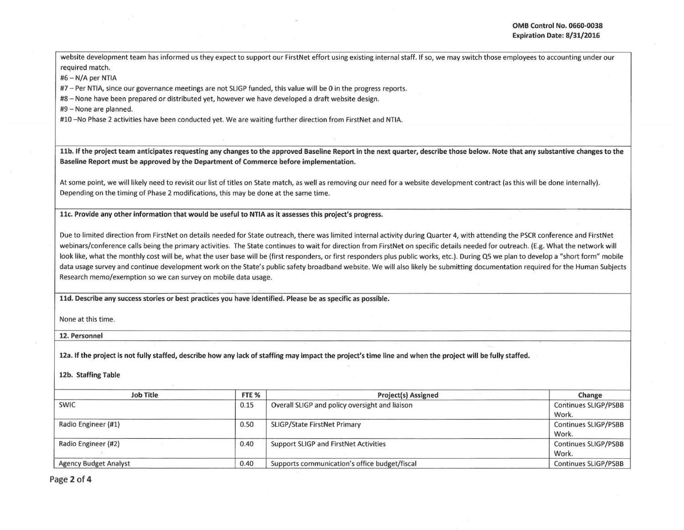!

website development team has informed us they expect to support our FirstNet effort using existing internal staff. If so, we may switch those employees to accounting under our required match.

#6 - N/A per NTIA

#7 - Per NTIA, since our governance meetings are not SLIGP funded, this value will be 0 in the progress reports.

#8 - None have been prepared or distributed yet, however we have developed a draft website design.

#9- None are planned.

#10 - No Phase 2 activities have been conducted yet. We are waiting further direction from FirstNet and NTIA.

llb. If the project team anticipates requesting any changes to the approved Baseline Report in the next quarter, describe those below. Note that any substantive changes to the Baseline Report must be approved by the Department of Commerce before implementation.

At some point, we will likely need to revisit our list of titles on State match, as well as removing our need for a website development contract (as this will be done internally). Depending on the timing of Phase 2 modifications, this may be done at the same time.

llc. Provide any other information that would be useful to NTIA as it assesses this project's progress.

Due to limited direction from FirstNet on details needed for State outreach, there was limited internal activity during Quarter 4, with attending the PSCR conference and FirstNet webinars/conference calls being the primary activities. The State continues to wait for direction from FirstNet on specific details needed for outreach. (E.g. What the network will look like, what the monthly cost will be, what the user base will be (first responders, or first responders plus public works, etc.). During Q5 we plan to develop a "short form" mobile data usage survey and continue development work on the State's public safety broadband website. We will also likely be submitting documentation required for the Human Subjects Research memo/exemption so we can survey on mobile data usage.

lld. Describe any success stories or best practices you have identified. Please be as specific as possible.

None at this time.

12. Personnel

12a. If the project is not fully staffed, describe how any lack of staffing may impact the project's time line and when the project will be fully staffed.

12b. Staffing Table

| <b>Job Title</b>             | FTE <sub>%</sub> | Project(s) Assigned                            | Change                        |
|------------------------------|------------------|------------------------------------------------|-------------------------------|
| <b>SWIC</b>                  | 0.15             | Overall SLIGP and policy oversight and liaison | Continues SLIGP/PSBB<br>Work. |
| Radio Engineer (#1)          | 0.50             | <b>SLIGP/State FirstNet Primary</b>            | Continues SLIGP/PSBB<br>Work. |
| Radio Engineer (#2)          | 0.40             | Support SLIGP and FirstNet Activities          | Continues SLIGP/PSBB<br>Work. |
| <b>Agency Budget Analyst</b> | 0.40             | Supports communication's office budget/fiscal  | Continues SLIGP/PSBB          |

Page 2 of 4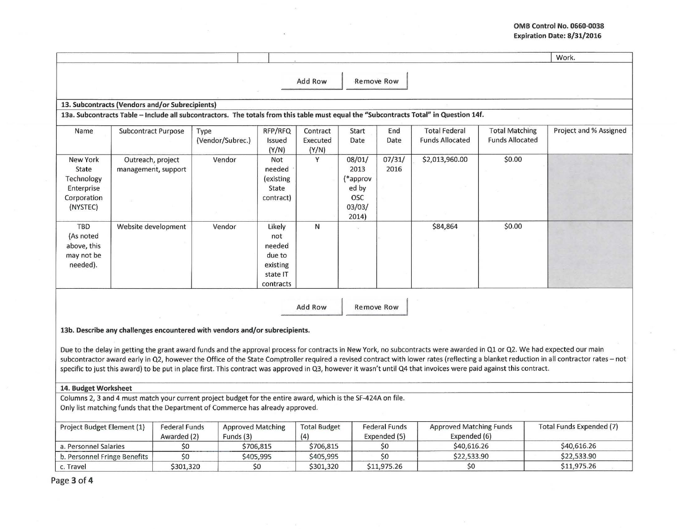## **OMB Control No. 0660-0038 Expiration Date: 8/31/2016**

|                                                                                                      |                                                                                                                                       |                          |                                                                        |                               |                                                               |                |                                                |                                                 | Work.                  |  |
|------------------------------------------------------------------------------------------------------|---------------------------------------------------------------------------------------------------------------------------------------|--------------------------|------------------------------------------------------------------------|-------------------------------|---------------------------------------------------------------|----------------|------------------------------------------------|-------------------------------------------------|------------------------|--|
|                                                                                                      |                                                                                                                                       |                          |                                                                        | Add Row                       | Remove Row                                                    |                |                                                |                                                 |                        |  |
| 13. Subcontracts (Vendors and/or Subrecipients)                                                      |                                                                                                                                       |                          |                                                                        |                               |                                                               |                |                                                |                                                 |                        |  |
|                                                                                                      | 13a. Subcontracts Table - Include all subcontractors. The totals from this table must equal the "Subcontracts Total" in Question 14f. |                          |                                                                        |                               |                                                               |                |                                                |                                                 |                        |  |
| Name                                                                                                 | <b>Subcontract Purpose</b>                                                                                                            | Type<br>(Vendor/Subrec.) | RFP/RFQ<br>Issued<br>(Y/N)                                             | Contract<br>Executed<br>(Y/N) | Start<br>Date                                                 | End<br>Date    | <b>Total Federal</b><br><b>Funds Allocated</b> | <b>Total Matching</b><br><b>Funds Allocated</b> | Project and % Assigned |  |
| <b>New York</b><br>State<br>Technology<br>Enterprise<br>Corporation<br>(NYSTEC)                      | Outreach, project<br>management, support                                                                                              | Vendor                   | Not<br>needed<br>(existing)<br>State<br>contract)                      | Y                             | 08/01/<br>2013<br>(*approv<br>ed by<br>OSC<br>03/03/<br>2014) | 07/31/<br>2016 | \$2,013,960.00                                 | \$0.00                                          |                        |  |
| TBD<br>(As noted<br>above, this<br>may not be<br>needed).                                            | Website development                                                                                                                   | Vendor                   | Likely<br>not<br>needed<br>due to<br>existing<br>state IT<br>contracts | $\mathsf{N}$                  |                                                               |                | \$84,864                                       | \$0.00                                          |                        |  |
| Add Row<br>Remove Row<br>13b. Describe any challenges encountered with vendors and/or subrecipients. |                                                                                                                                       |                          |                                                                        |                               |                                                               |                |                                                |                                                 |                        |  |

Due to the delay in getting the grant award funds and the approval process for contracts in New York, no subcontracts were awarded in Q1 or Q2. We had expected our main subcontractor award early in Q2, however the Office of the State Comptroller required a revised contract with lower rates (reflecting a blanket reduction in all contractor rates - not specific to just this award) to be put in place first. This contract was approved in Q3, however it wasn't until Q4 that invoices were paid against this contract.

## **14. BudgetWorksheet**

Columns 2, 3 and 4 must match your current project budget for the entire award, which is the SF-424A on file. Only list matching funds that the Department of Commerce has already approved.

| Project Budget Element (1)   | <b>Federal Funds</b><br>Awarded (2) | <b>Approved Matching</b><br>Funds $(3)$ | <b>Total Budget</b><br>(4) | <b>Federal Funds</b><br>Expended (5) | <b>Approved Matching Funds</b><br>Expended (6) | Total Funds Expended (7) |
|------------------------------|-------------------------------------|-----------------------------------------|----------------------------|--------------------------------------|------------------------------------------------|--------------------------|
| a. Personnel Salaries        |                                     | \$706.815                               | \$706,815                  |                                      | S40,616.26                                     | \$40,616.26              |
| b. Personnel Fringe Benefits |                                     | \$405,995                               | \$405,995                  |                                      | \$22,533.90                                    | \$22.533.90              |
| c. Travel                    | \$301.320                           | S0                                      | \$301,320                  | \$11,975.26                          |                                                | \$11,975.26              |

Page **3 of 4**